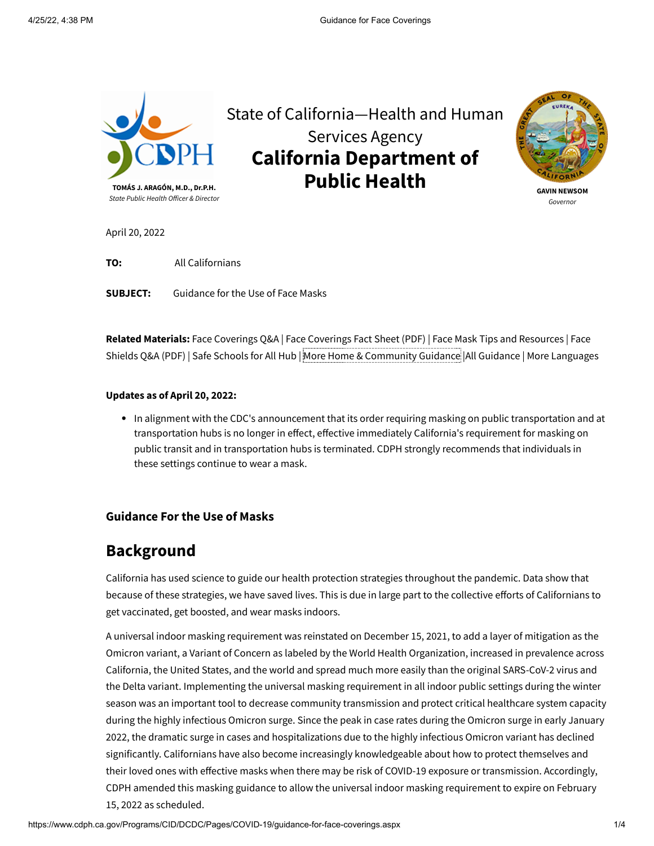

State of California—Health and Human Services Agency **California Department of Public Health**



**GAVIN NEWSOM** *Governor*

April 20, 2022

**TO:** All Californians

**SUBJECT:** Guidance for the Use of Face Masks

**Related Materials:** [Face Coverings Q&A](https://www.cdph.ca.gov/Programs/CID/DCDC/Pages/COVID-19/Face-Coverings-QA.aspx) | [Face Coverings Fact](https://www.cdph.ca.gov/Programs/CID/DCDC/CDPH%20Document%20Library/COVID-19/Translations/Use-of-Face-Coverings-Fact-Sheets--en.pdf) Sheet (PDF) | Face [Mask Tips and Resources](https://www.cdph.ca.gov/Programs/CID/DCDC/Pages/COVID-19/Get-the-Most-out-of-Masking.aspx) | Face Shields Q&A (PDF) | [Safe Schools for All Hub](https://schools.covid19.ca.gov/) | [More Home & Community](https://www.cdph.ca.gov/Programs/CID/DCDC/CDPH%20Document%20Library/COVID-19/faceshield_handout.pdf) Guidance |[All Guidance](https://www.cdph.ca.gov/Programs/CID/DCDC/Pages/Guidance.aspx) | [More Languages](https://www.cdph.ca.gov/Programs/CID/DCDC/Pages/COVID-19/COVID19MultilingualDocuments.aspx)

#### **Updates as of April 20, 2022:**

In alignment with the CDC's announcement that its order requiring masking on public transportation and at transportation hubs is no longer in effect, effective immediately California's requirement for masking on public transit and in transportation hubs is terminated. CDPH strongly recommends that individuals in these settings continue to wear a mask.

#### **Guidance For the Use of Masks**

# **Background**

California has used science to guide our health protection strategies throughout the pandemic. Data show that because of these strategies, we have saved lives. This is due in large part to the collective efforts of Californians to get vaccinated, get boosted, and wear masks indoors.

A universal indoor masking requirement was reinstated on December 15, 2021, to add a layer of mitigation as the Omicron variant, a Variant of Concern as labeled by the World Health Organization, increased in prevalence across California, the United States, and the world and spread much more easily than the original SARS-CoV-2 virus and the Delta variant. Implementing the universal masking requirement in all indoor public settings during the winter season was an important tool to decrease community transmission and protect critical healthcare system capacity during the highly infectious Omicron surge. Since the peak in case rates during the Omicron surge in early January 2022, the dramatic surge in cases and hospitalizations due to the highly infectious Omicron variant has declined significantly. Californians have also become increasingly knowledgeable about how to protect themselves and their loved ones with effective masks when there may be risk of COVID-19 exposure or transmission. Accordingly, CDPH amended this masking guidance to allow the universal indoor masking requirement to expire on February 15, 2022 as scheduled.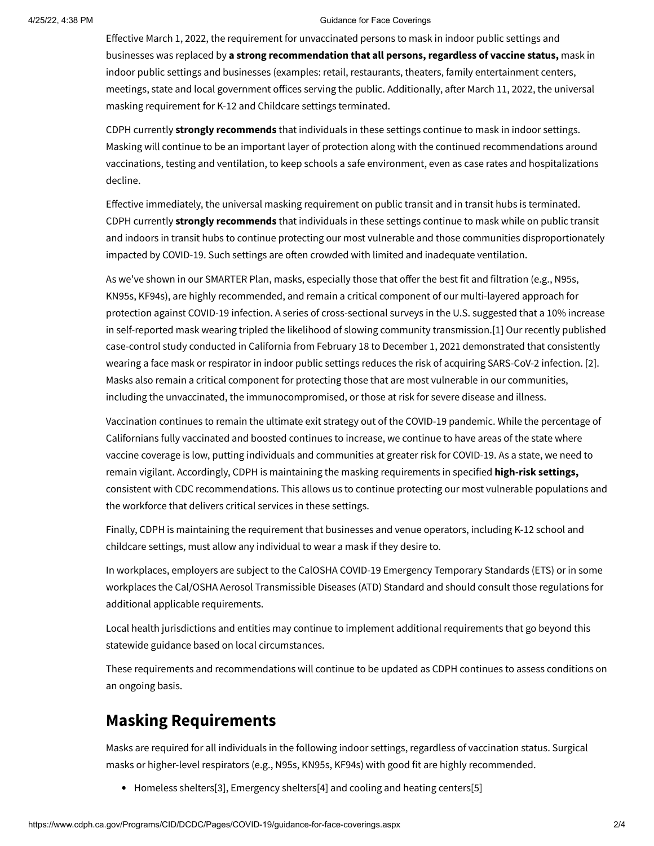#### 4/25/22, 4:38 PM Guidance for Face Coverings

Effective March 1, 2022, the requirement for unvaccinated persons to mask in indoor public settings and businesses was replaced by **a strong recommendation that all persons, regardless of vaccine status,** mask in indoor public settings and businesses (examples: retail, restaurants, theaters, family entertainment centers, meetings, state and local government offices serving the public. Additionally, after March 11, 2022, the universal masking requirement for K-12 and Childcare settings terminated.

CDPH currently **strongly recommends** that individuals in these settings continue to mask in indoor settings. Masking will continue to be an important layer of protection along with the continued recommendations around vaccinations, testing and ventilation, to keep schools a safe environment, even as case rates and hospitalizations decline.

Effective immediately, the universal masking requirement on public transit and in transit hubs is terminated. CDPH currently **strongly recommends** that individuals in these settings continue to mask while on public transit and indoors in transit hubs to continue protecting our most vulnerable and those communities disproportionately impacted by COVID-19. Such settings are often crowded with limited and inadequate ventilation.

As we've shown in our SMARTER Plan, masks, especially those that offer the best fit and filtration (e.g., N95s, KN95s, KF94s), are highly recommended, and remain a critical component of our multi-layered approach for protection against COVID-19 infection. A series of cross-sectional surveys in the U.S. suggested that a 10% increase in self-reported mask wearing tripled the likelihood of slowing community transmission.[\[1\]](#page-3-0) Our recently published case-control study conducted in California from February 18 to December 1, 2021 demonstrated that consistently wearing a face mask or respirator in indoor public settings reduces the risk of acquiring SARS-CoV-2 infection. [\[2\]](#page-3-1). Masks also remain a critical component for protecting those that are most vulnerable in our communities, including the unvaccinated, the immunocompromised, or those at risk for severe disease and illness.

Vaccination continues to remain the ultimate exit strategy out of the COVID-19 pandemic. While the percentage of Californians fully vaccinated and boosted continues to increase, we continue to have areas of the state where vaccine coverage is low, putting individuals and communities at greater risk for COVID-19. As a state, we need to remain vigilant. Accordingly, CDPH is maintaining the masking requirements in specified **high-risk settings,** consistent with CDC recommendations. This allows us to continue protecting our most vulnerable populations and the workforce that delivers critical services in these settings.

Finally, CDPH is maintaining the requirement that businesses and venue operators, including K-12 school and childcare settings, must allow any individual to wear a mask if they desire to.

In workplaces, employers are subject to the CalOSHA COVID-19 [Emergency Temporary Standards \(ETS\)](https://www.dir.ca.gov/dosh/coronavirus/ETS.html) or in some workplaces the [Cal/OSHA Aerosol Transmissible Diseases \(ATD\)](https://www.dir.ca.gov/dosh/dosh_publications/ATD-Guide.pdf) Standard and should consult those regulations for additional applicable requirements.

Local health jurisdictions and entities may continue to implement additional requirements that go beyond this statewide guidance based on local circumstances.

These requirements and recommendations will continue to be updated as CDPH continues to assess conditions on an ongoing basis.

## **Masking Requirements**

Masks are required for all individuals in the following indoor settings, regardless of vaccination status. Surgical masks or higher-level respirators (e.g., N95s, KN95s, KF94s) with good fit are highly recommended.

[Homeless shelters](https://www.cdc.gov/coronavirus/2019-ncov/community/homeless-shelters/plan-prepare-respond.html)[\[3\],](#page-3-2) [Emergency shelters](https://www.cdc.gov/coronavirus/2019-ncov/php/eh-practitioners/general-population-disaster-shelters.html)[\[4\]](#page-3-3) and [cooling and heating centers](https://www.cdc.gov/coronavirus/2019-ncov/php/cooling-center.html)[\[5\]](#page-3-4)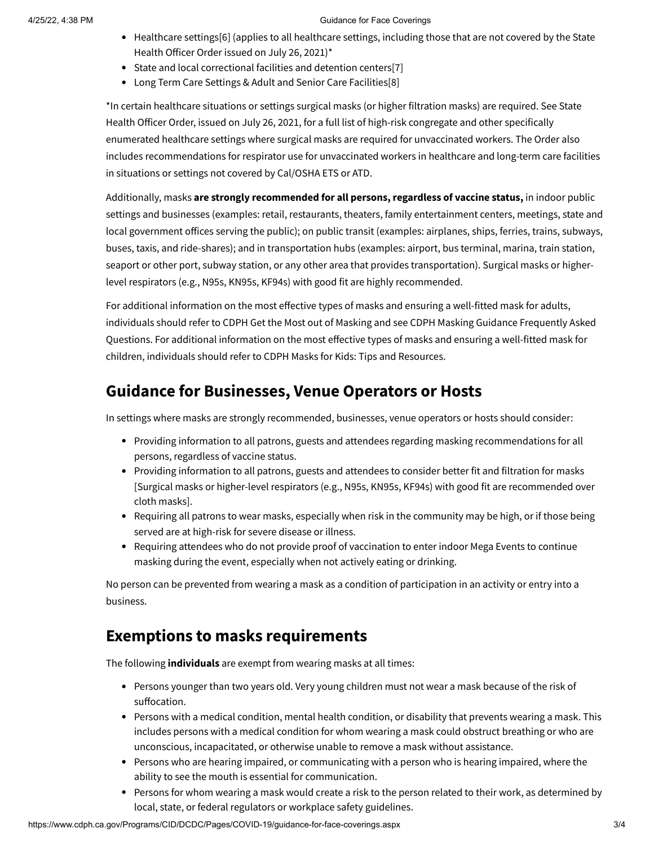#### 4/25/22, 4:38 PM Guidance for Face Coverings

- [Healthcare settings](https://www.cdc.gov/coronavirus/2019-ncov/hcp/infection-control-after-vaccination.html)[\[](https://www.cdph.ca.gov/Programs/CID/DCDC/Pages/COVID-19/Order-of-the-State-Public-Health-Officer-Unvaccinated-Workers-In-High-Risk-Settings.aspx)[6](#page-3-5)[\] \(applies to all healthcare settings, including those that are not covered by the](https://www.cdph.ca.gov/Programs/CID/DCDC/Pages/COVID-19/Order-of-the-State-Public-Health-Officer-Unvaccinated-Workers-In-High-Risk-Settings.aspx) State Health Officer Order issued on July 26, 2021)[\\*](#page-2-0)
- State and local [correctional facilities and detention centers](https://www.cdc.gov/coronavirus/2019-ncov/community/correction-detention/guidance-correctional-detention.html#infection-control)[\[7\]](#page-3-6)
- [Long Term Care Settings & Adult and Senior Care Facilities](https://www.cdc.gov/coronavirus/2019-ncov/hcp/nursing-home-long-term-care.html)[\[8\]](#page-3-7)

<span id="page-2-0"></span>[\\*In certain healthcare situations or settings surgical masks \(or higher filtration masks\) are required. See](https://www.cdph.ca.gov/Programs/CID/DCDC/Pages/COVID-19/Order-of-the-State-Public-Health-Officer-Unvaccinated-Workers-In-High-Risk-Settings.aspx) State Health Officer Order, issued on July 26, 2021, for a full list of high-risk congregate and other specifically enumerated healthcare settings where surgical masks are required for unvaccinated workers. The Order also includes recommendations for respirator use for unvaccinated workers in healthcare and long-term care facilities in situations or settings not covered by Cal/OSHA ETS or ATD.

Additionally, masks **are strongly recommended for all persons, regardless of vaccine status,** in indoor public settings and businesses (examples: retail, restaurants, theaters, family entertainment centers, meetings, state and local government offices serving the public); on public transit (examples: airplanes, ships, ferries, trains, subways, buses, taxis, and ride-shares); and in transportation hubs (examples: airport, bus terminal, marina, train station, seaport or other port, subway station, or any other area that provides transportation). Surgical masks or higherlevel respirators (e.g., N95s, KN95s, KF94s) with good fit are highly recommended.

For additional information on the most effective types of masks and ensuring a well-fitted mask for adults, individuals should refer to CDPH [Get the Most out of Masking](https://www.cdph.ca.gov/Programs/CID/DCDC/Pages/COVID-19/Get-the-Most-out-of-Masking.aspx) and see CDPH Masking Guidance Frequently Asked [Questions. For additional information on the most effective types of masks and ensuring a well-fitted mask for](https://www.cdph.ca.gov/Programs/CID/DCDC/Pages/COVID-19/Face-Coverings-QA.aspx) children, individuals should refer to [CDPH Masks for Kids: Tips and Resources](https://www.cdph.ca.gov/Programs/CID/DCDC/Pages/COVID-19/Masks-for-Kids-Tips-and-Resources.aspx).

## **Guidance for Businesses, Venue Operators or Hosts**

In settings where masks are strongly recommended, businesses, venue operators or hosts should consider:

- Providing information to all patrons, guests and attendees regarding masking recommendations for all persons, regardless of vaccine status.
- Providing information to all patrons, guests and attendees to consider better fit and filtration for masks [Surgical masks or higher-level respirators (e.g., N95s, KN95s, KF94s) with good fit are recommended over cloth masks].
- Requiring all patrons to wear masks, especially when risk in the community may be high, or if those being served are at high-risk for severe disease or illness.
- Requiring attendees who do not provide proof of vaccination to enter indoor Mega Events to continue masking during the event, especially when not actively eating or drinking.

No person can be prevented from wearing a mask as a condition of participation in an activity or entry into a business.

### **Exemptions to masks requirements**

The following **individuals** are exempt from wearing masks at all times:

- Persons younger than two years old. Very young children must not wear a mask because of the risk of suffocation.
- Persons with a medical condition, mental health condition, or disability that prevents wearing a mask. This includes persons with a medical condition for whom wearing a mask could obstruct breathing or who are unconscious, incapacitated, or otherwise unable to remove a mask without assistance.
- Persons who are hearing impaired, or communicating with a person who is hearing impaired, where the ability to see the mouth is essential for communication.
- Persons for whom wearing a mask would create a risk to the person related to their work, as determined by local, state, or federal regulators or workplace safety guidelines.